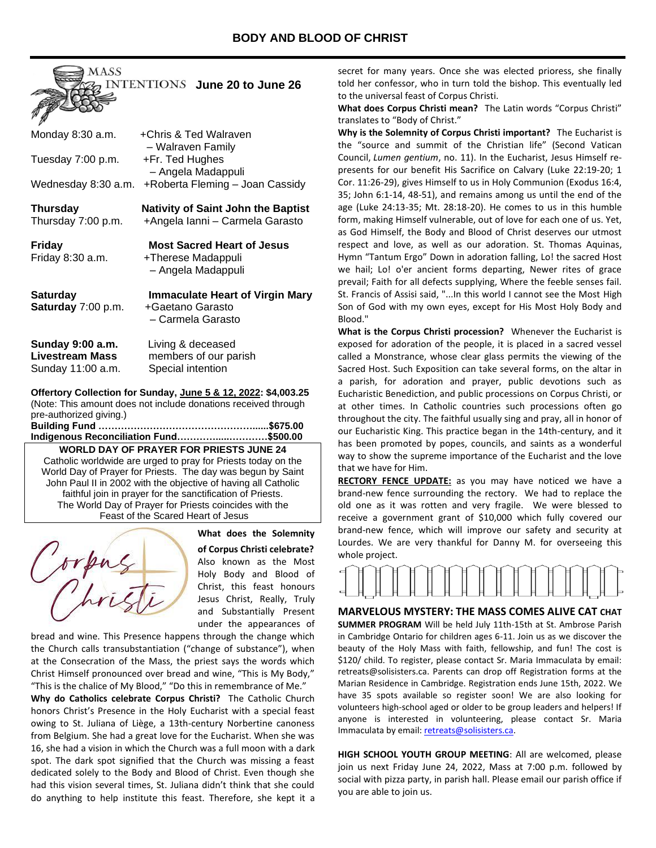

| Monday 8:30 a.m.                                                | +Chris & Ted Walraven<br>- Walraven Family                                    |
|-----------------------------------------------------------------|-------------------------------------------------------------------------------|
| Tuesday 7:00 p.m.                                               | +Fr. Ted Hughes<br>- Angela Madappuli                                         |
| Wednesday 8:30 a.m.                                             | +Roberta Fleming - Joan Cassidy                                               |
| <b>Thursday</b><br>Thursday 7:00 p.m.                           | Nativity of Saint John the Baptist<br>+Angela Ianni - Carmela Garasto         |
| Friday<br>Friday 8:30 a.m.                                      | <b>Most Sacred Heart of Jesus</b><br>+Therese Madappuli<br>- Angela Madappuli |
| <b>Saturday</b><br>Saturday 7:00 p.m.                           | Immaculate Heart of Virgin Mary<br>+Gaetano Garasto<br>- Carmela Garasto      |
| Sunday 9:00 a.m.<br><b>Livestream Mass</b><br>Sunday 11:00 a.m. | Living & deceased<br>members of our parish<br>Special intention               |

#### **Offertory Collection for Sunday, June 5 & 12, 2022: \$4,003.25** (Note: This amount does not include donations received through pre-authorized giving.)

#### **Building Fund …………………………………………......\$675.00 Indigenous Reconciliation Fund………….....…………\$500.00**

**WORLD DAY OF PRAYER FOR PRIESTS JUNE 24** Catholic worldwide are urged to pray for Priests today on the World Day of Prayer for Priests. The day was begun by Saint John Paul II in 2002 with the objective of having all Catholic faithful join in prayer for the sanctification of Priests. The World Day of Prayer for Priests coincides with the Feast of the Scared Heart of Jesus



**What does the Solemnity of Corpus Christi celebrate?**

Also known as the Most Holy Body and Blood of Christ, this feast honours Jesus Christ, Really, Truly and Substantially Present under the appearances of

bread and wine. This Presence happens through the change which the Church calls transubstantiation ("change of substance"), when at the Consecration of the Mass, the priest says the words which Christ Himself pronounced over bread and wine, "This is My Body," "This is the chalice of My Blood," "Do this in remembrance of Me."

**Why do Catholics celebrate Corpus Christi?** The Catholic Church honors Christ's Presence in the Holy Eucharist with a special feast owing to St. Juliana of Liège, a 13th-century Norbertine canoness from Belgium. She had a great love for the Eucharist. When she was 16, she had a vision in which the Church was a full moon with a dark spot. The dark spot signified that the Church was missing a feast dedicated solely to the Body and Blood of Christ. Even though she had this vision several times, St. Juliana didn't think that she could do anything to help institute this feast. Therefore, she kept it a

secret for many years. Once she was elected prioress, she finally told her confessor, who in turn told the bishop. This eventually led to the universal feast of Corpus Christi.

**What does Corpus Christi mean?** The Latin words "Corpus Christi" translates to "Body of Christ."

**Why is the Solemnity of Corpus Christi important?** The Eucharist is the "source and summit of the Christian life" (Second Vatican Council, *Lumen gentium*, no. 11). In the Eucharist, Jesus Himself represents for our benefit His Sacrifice on Calvary (Luke 22:19-20; 1 Cor. 11:26-29), gives Himself to us in Holy Communion (Exodus 16:4, 35; John 6:1-14, 48-51), and remains among us until the end of the age (Luke 24:13-35; Mt. 28:18-20). He comes to us in this humble form, making Himself vulnerable, out of love for each one of us. Yet, as God Himself, the Body and Blood of Christ deserves our utmost respect and love, as well as our adoration. St. Thomas Aquinas, Hymn "Tantum Ergo" Down in adoration falling, Lo! the sacred Host we hail; Lo! o'er ancient forms departing, Newer rites of grace prevail; Faith for all defects supplying, Where the feeble senses fail. St. Francis of Assisi said, "...In this world I cannot see the Most High Son of God with my own eyes, except for His Most Holy Body and Blood."

**What is the Corpus Christi procession?** Whenever the Eucharist is exposed for adoration of the people, it is placed in a sacred vessel called a Monstrance, whose clear glass permits the viewing of the Sacred Host. Such Exposition can take several forms, on the altar in a parish, for adoration and prayer, public devotions such as Eucharistic Benediction, and public processions on Corpus Christi, or at other times. In Catholic countries such processions often go throughout the city. The faithful usually sing and pray, all in honor of our Eucharistic King. This practice began in the 14th-century, and it has been promoted by popes, councils, and saints as a wonderful way to show the supreme importance of the Eucharist and the love that we have for Him.

**RECTORY FENCE UPDATE:** as you may have noticed we have a brand-new fence surrounding the rectory. We had to replace the old one as it was rotten and very fragile. We were blessed to receive a government grant of \$10,000 which fully covered our brand-new fence, which will improve our safety and security at Lourdes. We are very thankful for Danny M. for overseeing this whole project.

#### **MARVELOUS MYSTERY: THE MASS COMES ALIVE CAT CHAT**

**SUMMER PROGRAM** Will be held July 11th-15th at St. Ambrose Parish in Cambridge Ontario for children ages 6-11. Join us as we discover the beauty of the Holy Mass with faith, fellowship, and fun! The cost is \$120/ child. To register, please contact Sr. Maria Immaculata by email: retreats@solisisters.ca. Parents can drop off Registration forms at the Marian Residence in Cambridge. Registration ends June 15th, 2022. We have 35 spots available so register soon! We are also looking for volunteers high-school aged or older to be group leaders and helpers! If anyone is interested in volunteering, please contact Sr. Maria Immaculata by email[: retreats@solisisters.ca.](mailto:retreats@solisisters.ca)

**HIGH SCHOOL YOUTH GROUP MEETING**: All are welcomed, please join us next Friday June 24, 2022, Mass at 7:00 p.m. followed by social with pizza party, in parish hall. Please email our parish office if you are able to join us.